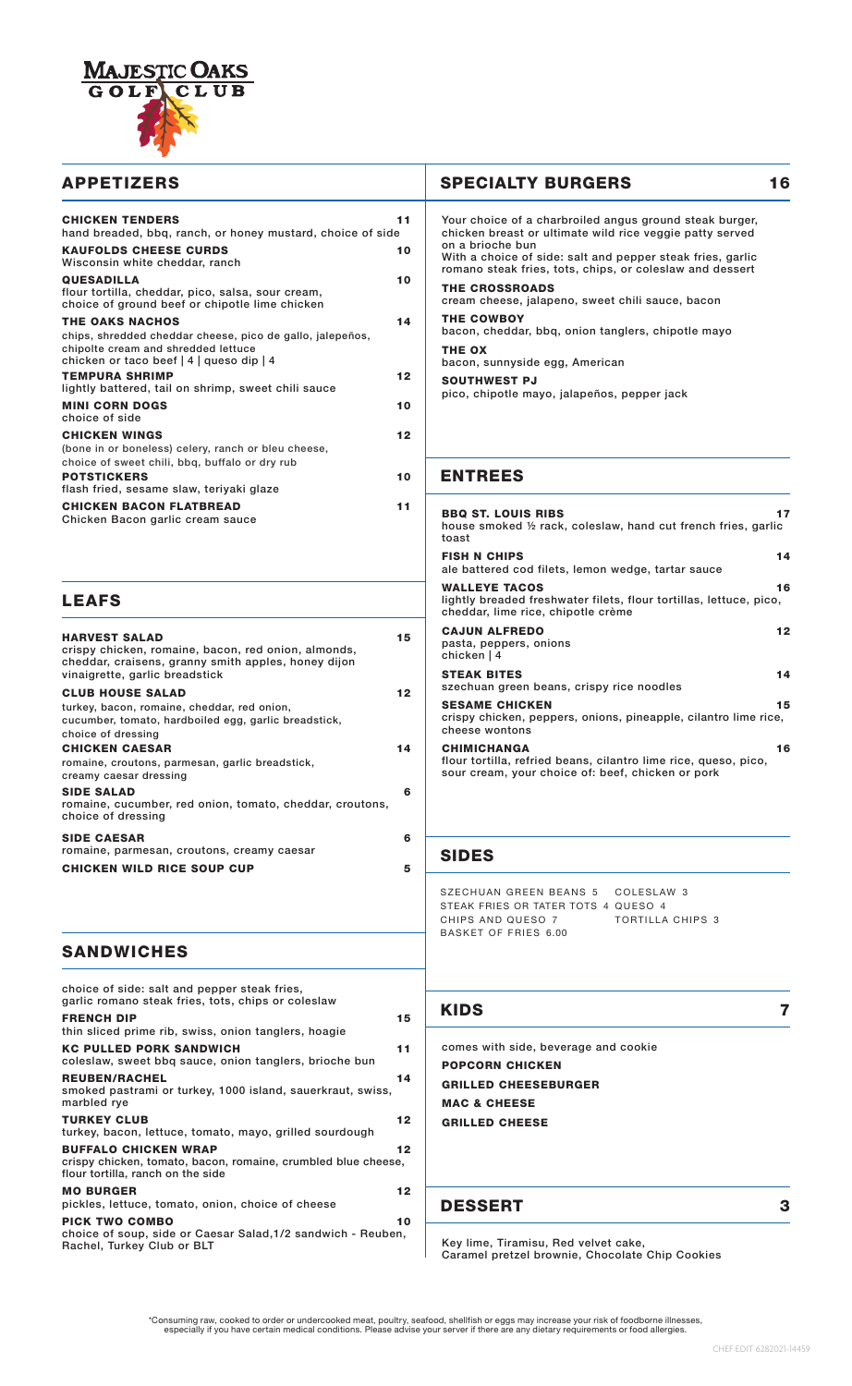

| <b>CHICKEN TENDERS</b><br>11<br>hand breaded, bbg, ranch, or honey mustard, choice of side                                                                                   |  |
|------------------------------------------------------------------------------------------------------------------------------------------------------------------------------|--|
| <b>KAUFOLDS CHEESE CURDS</b><br>10<br>Wisconsin white cheddar, ranch                                                                                                         |  |
| <b>QUESADILLA</b><br>10<br>flour tortilla, cheddar, pico, salsa, sour cream,<br>choice of ground beef or chipotle lime chicken                                               |  |
| <b>THE OAKS NACHOS</b><br>14<br>chips, shredded cheddar cheese, pico de gallo, jalepeños,<br>chipolte cream and shredded lettuce<br>chicken or taco beef   4   queso dip   4 |  |
| <b>TEMPURA SHRIMP</b><br>$12 \,$<br>lightly battered, tail on shrimp, sweet chili sauce                                                                                      |  |
| <b>MINI CORN DOGS</b><br>10<br>choice of side                                                                                                                                |  |
| <b>CHICKEN WINGS</b><br>12<br>(bone in or boneless) celery, ranch or bleu cheese,<br>choice of sweet chili, bbq, buffalo or dry rub                                          |  |
| <b>POTSTICKERS</b><br>10<br>flash fried, sesame slaw, teriyaki glaze                                                                                                         |  |
| <b>CHICKEN BACON FLATBREAD</b><br>11<br>Chicken Bacon garlic cream sauce                                                                                                     |  |

#### LEAFS

| <b>HARVEST SALAD</b><br>crispy chicken, romaine, bacon, red onion, almonds,<br>cheddar, craisens, granny smith apples, honey dijon<br>vinaigrette, garlic breadstick | 15 |
|----------------------------------------------------------------------------------------------------------------------------------------------------------------------|----|
| <b>CLUB HOUSE SALAD</b>                                                                                                                                              | 12 |
| turkey, bacon, romaine, cheddar, red onion,                                                                                                                          |    |
| cucumber, tomato, hardboiled egg, garlic breadstick,                                                                                                                 |    |
| choice of dressing                                                                                                                                                   |    |
| <b>CHICKEN CAESAR</b>                                                                                                                                                | 14 |
| romaine, croutons, parmesan, garlic breadstick,                                                                                                                      |    |
| creamy caesar dressing                                                                                                                                               |    |
| <b>SIDE SALAD</b>                                                                                                                                                    | 6  |
| romaine, cucumber, red onion, tomato, cheddar, croutons,                                                                                                             |    |
| choice of dressing                                                                                                                                                   |    |
| <b>SIDE CAESAR</b>                                                                                                                                                   | 6  |
| romaine, parmesan, croutons, creamy caesar                                                                                                                           |    |
| <b>CHICKEN WILD RICE SOUP CUP</b>                                                                                                                                    | 5  |
|                                                                                                                                                                      |    |

# APPETIZERS SPECIALTY BURGERS 16

| Your choice of a charbroiled angus ground steak burger,<br>chicken breast or ultimate wild rice veggie patty served<br>on a brioche bun<br>With a choice of side: salt and pepper steak fries, garlic<br>romano steak fries, tots, chips, or coleslaw and dessert |
|-------------------------------------------------------------------------------------------------------------------------------------------------------------------------------------------------------------------------------------------------------------------|
| <b>THE CROSSROADS</b><br>cream cheese, jalapeno, sweet chili sauce, bacon                                                                                                                                                                                         |
| <b>THE COWBOY</b><br>bacon, cheddar, bbg, onion tanglers, chipotle mayo                                                                                                                                                                                           |
| THE OX<br>bacon, sunnyside egg, American                                                                                                                                                                                                                          |
| <b>SOUTHWEST PJ</b><br>pico, chipotle mayo, jalapeños, pepper jack                                                                                                                                                                                                |

#### ENTREES

| <b>BBQ ST. LOUIS RIBS</b><br>house smoked $\not\!\!\!\!\!2$ rack, coleslaw, hand cut french fries, garlic<br>toast                         | 17 |
|--------------------------------------------------------------------------------------------------------------------------------------------|----|
| <b>FISH N CHIPS</b><br>ale battered cod filets, lemon wedge, tartar sauce                                                                  | 14 |
| <b>WALLEYE TACOS</b><br>lightly breaded freshwater filets, flour tortillas, lettuce, pico,<br>cheddar, lime rice, chipotle crème           | 16 |
| <b>CAJUN ALFREDO</b><br>pasta, peppers, onions<br>chicken   4                                                                              | 12 |
| <b>STEAK BITES</b><br>szechuan green beans, crispy rice noodles                                                                            | 14 |
| <b>SESAME CHICKEN</b><br>crispy chicken, peppers, onions, pineapple, cilantro lime rice,<br>cheese wontons                                 | 15 |
| <b>CHIMICHANGA</b><br>flour tortilla, refried beans, cilantro lime rice, queso, pico,<br>sour cream, your choice of: beef, chicken or pork | 16 |

## SIDES

SZECHUAN GREEN BEANS 5 COLESLAW 3 STEAK FRIES OR TATER TOTS 4 QUESO 4 CHIPS AND QUESO 7 BASKET OF FRIES 6.00 TORTILLA CHIPS 3

### **SANDWICHES**

| choice of side: salt and pepper steak fries,<br>garlic romano steak fries, tots, chips or coleslaw                                      |  |
|-----------------------------------------------------------------------------------------------------------------------------------------|--|
| <b>FRENCH DIP</b><br>15<br>thin sliced prime rib, swiss, onion tanglers, hoagie                                                         |  |
| <b>KC PULLED PORK SANDWICH</b><br>11<br>coleslaw, sweet bbq sauce, onion tanglers, brioche bun                                          |  |
| <b>REUBEN/RACHEL</b><br>14<br>smoked pastrami or turkey, 1000 island, sauerkraut, swiss,<br>marbled rye                                 |  |
| <b>TURKEY CLUB</b><br>12<br>turkey, bacon, lettuce, tomato, mayo, grilled sourdough                                                     |  |
| <b>BUFFALO CHICKEN WRAP</b><br>12<br>crispy chicken, tomato, bacon, romaine, crumbled blue cheese,<br>flour tortilla, ranch on the side |  |
| <b>MO BURGER</b><br>12<br>pickles, lettuce, tomato, onion, choice of cheese                                                             |  |
| <b>PICK TWO COMBO</b><br>10<br>choice of soup, side or Caesar Salad, 1/2 sandwich - Reuben,<br>Rachel, Turkey Club or BLT               |  |

#### KIDS 7

comes with side, beverage and cookie POPCORN CHICKEN GRILLED CHEESEBURGER MAC & CHEESE GRILLED CHEESE

#### DESSERT 3

Key lime, Tiramisu, Red velvet cake, Caramel pretzel brownie, Chocolate Chip Cookies

Consuming raw, cooked to order or undercooked meat, poultry, seafood, shellfish or eggs may increase your risk of foodborne illnesses,\*<br>especially if you have certain medical conditions. Please advise your server if there